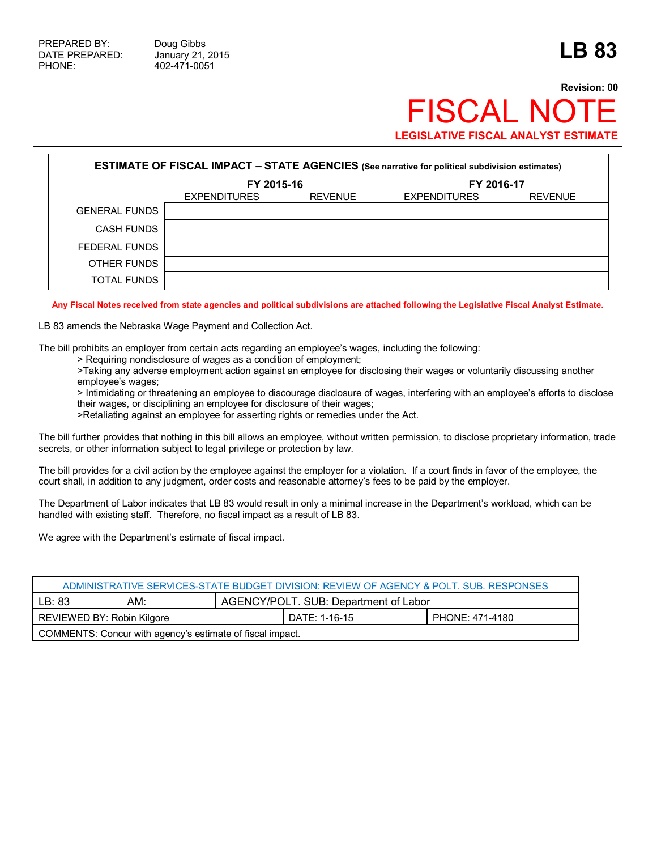## **Revision: 00 FISCAL NO LEGISLATIVE FISCAL ANALYST ESTIMATE**

| <b>ESTIMATE OF FISCAL IMPACT - STATE AGENCIES</b> (See narrative for political subdivision estimates) |                     |                |                     |                |  |
|-------------------------------------------------------------------------------------------------------|---------------------|----------------|---------------------|----------------|--|
|                                                                                                       | FY 2015-16          |                | FY 2016-17          |                |  |
|                                                                                                       | <b>EXPENDITURES</b> | <b>REVENUE</b> | <b>EXPENDITURES</b> | <b>REVENUE</b> |  |
| <b>GENERAL FUNDS</b>                                                                                  |                     |                |                     |                |  |
| <b>CASH FUNDS</b>                                                                                     |                     |                |                     |                |  |
| FEDERAL FUNDS                                                                                         |                     |                |                     |                |  |
| OTHER FUNDS                                                                                           |                     |                |                     |                |  |
| TOTAL FUNDS                                                                                           |                     |                |                     |                |  |

**Any Fiscal Notes received from state agencies and political subdivisions are attached following the Legislative Fiscal Analyst Estimate.**

LB 83 amends the Nebraska Wage Payment and Collection Act.

The bill prohibits an employer from certain acts regarding an employee's wages, including the following:

> Requiring nondisclosure of wages as a condition of employment;

>Taking any adverse employment action against an employee for disclosing their wages or voluntarily discussing another employee's wages;

> Intimidating or threatening an employee to discourage disclosure of wages, interfering with an employee's efforts to disclose their wages, or disciplining an employee for disclosure of their wages;

>Retaliating against an employee for asserting rights or remedies under the Act.

The bill further provides that nothing in this bill allows an employee, without written permission, to disclose proprietary information, trade secrets, or other information subject to legal privilege or protection by law.

The bill provides for a civil action by the employee against the employer for a violation. If a court finds in favor of the employee, the court shall, in addition to any judgment, order costs and reasonable attorney's fees to be paid by the employer.

The Department of Labor indicates that LB 83 would result in only a minimal increase in the Department's workload, which can be handled with existing staff. Therefore, no fiscal impact as a result of LB 83.

We agree with the Department's estimate of fiscal impact.

| ADMINISTRATIVE SERVICES-STATE BUDGET DIVISION: REVIEW OF AGENCY & POLT. SUB. RESPONSES |     |                                       |               |                 |  |
|----------------------------------------------------------------------------------------|-----|---------------------------------------|---------------|-----------------|--|
| LB: 83                                                                                 | AM: | AGENCY/POLT. SUB: Department of Labor |               |                 |  |
| REVIEWED BY: Robin Kilgore                                                             |     |                                       | DATE: 1-16-15 | PHONE: 471-4180 |  |
| COMMENTS: Concur with agency's estimate of fiscal impact.                              |     |                                       |               |                 |  |